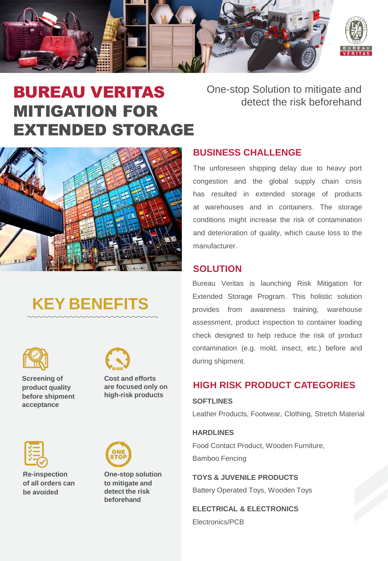

# BUREAU VERITAS MITIGATION FOR EXTENDED STORAGE

# One-stop Solution to mitigate and detect the risk beforehand



# **KEY BENEFITS**



**Screening of product quality before shipment acceptance**



**high-risk products**



**Re-inspection of all orders can be avoided**



**One-stop solution to mitigate and detect the risk beforehand**

## **BUSINESS CHALLENGE**

The unforeseen shipping delay due to heavy port congestion and the global supply chain crisis has resulted in extended storage of products at warehouses and in containers. The storage conditions might increase the risk of contamination and deterioration of quality, which cause loss to the manufacturer.

## **SOLUTION**

Bureau Veritas is launching Risk Mitigation for Extended Storage Program. This holistic solution provides from awareness training, warehouse assessment, product inspection to container loading check designed to help reduce the risk of product contamination (e.g. mold, insect, etc.) before and during shipment.

## **HIGH RISK PRODUCT CATEGORIES**

#### **SOFTLINES**

Leather Products, Footwear, Clothing, Stretch Material

#### **HARDLINES**

Food Contact Product, Wooden Furniture, Bamboo Fencing

**TOYS & JUVENILE PRODUCTS** Battery Operated Toys, Wooden Toys

**ELECTRICAL & ELECTRONICS** Electronics/PCB